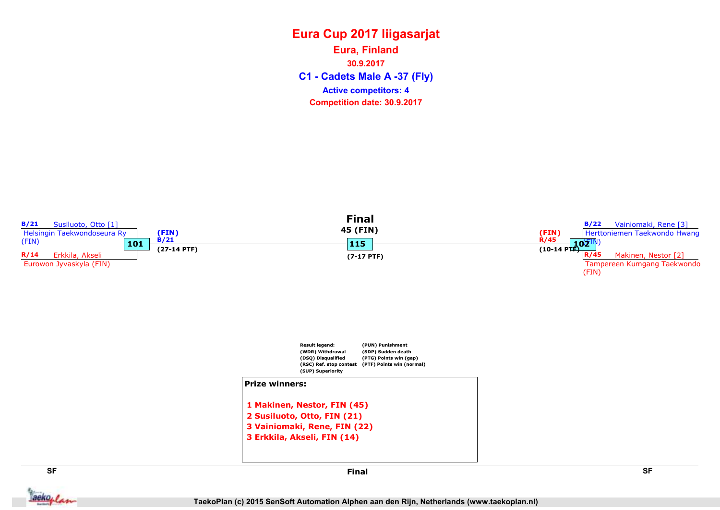C1 - Cadets Male A -37 (Fly) Eura, Finland 30.9.2017 Competition date: 30.9.2017 Active competitors: 4

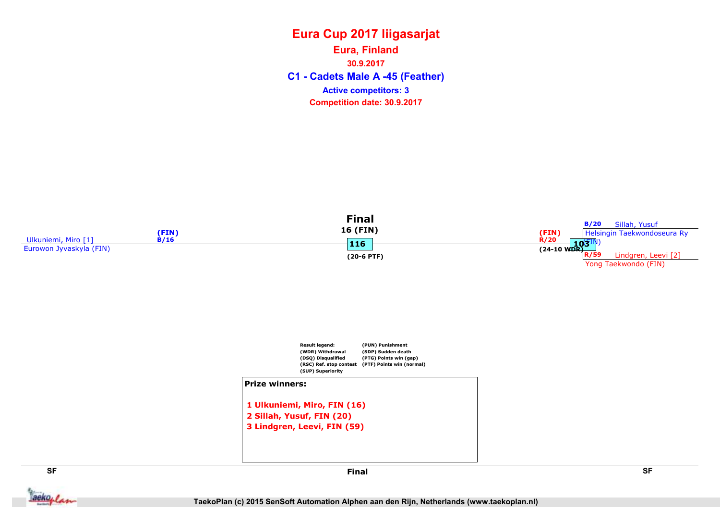C1 - Cadets Male A -45 (Feather) Eura, Finland 30.9.2017 Competition date: 30.9.2017 Active competitors: 3





```
1 Ulkuniemi, Miro, FIN (16)
2 Sillah, Yusuf, FIN (20)
3 Lindgren, Leevi, FIN (59)
```


aekoplan

SF SF Final

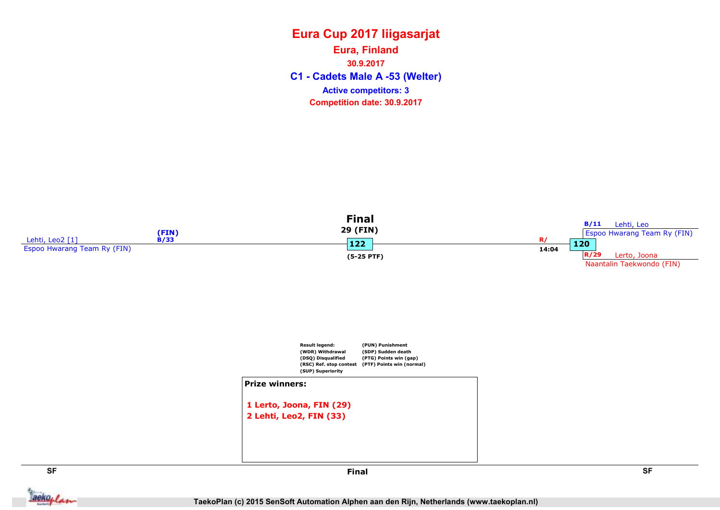#### Eura Cup 2017 liigasarjat C1 - Cadets Male A -53 (Welter) Eura, Finland 30.9.2017 Competition date: 30.9.2017 Active competitors: 3







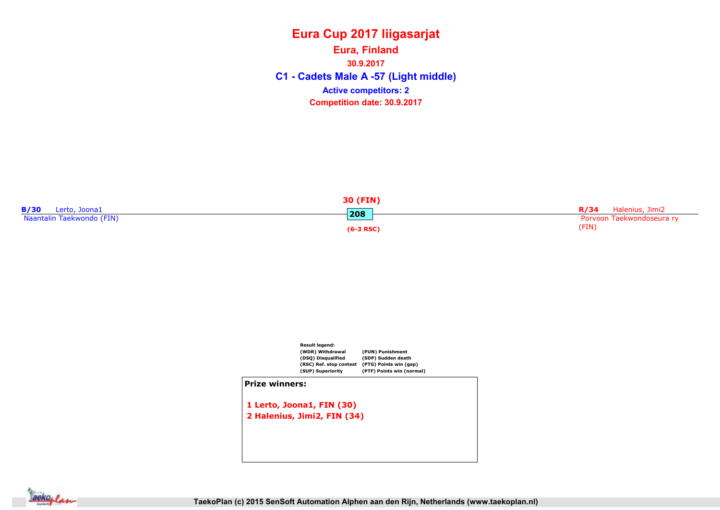#### Eura Cup 2017 liigasarjat C1 - Cadets Male A -57 (Light middle) Eura, Finland 30.9.2017 Competition date: 30.9.2017 Active competitors: 2

|                           | 30 (FIN)    |                             |
|---------------------------|-------------|-----------------------------|
| Lerto, Joona1             | 208         | <b>R/34</b> Halenius, Jimi2 |
| Naantalin Taekwondo (FIN) |             | Porvoon Taekwondoseura ry   |
|                           | $(6-3 RSC)$ | (FIN)                       |



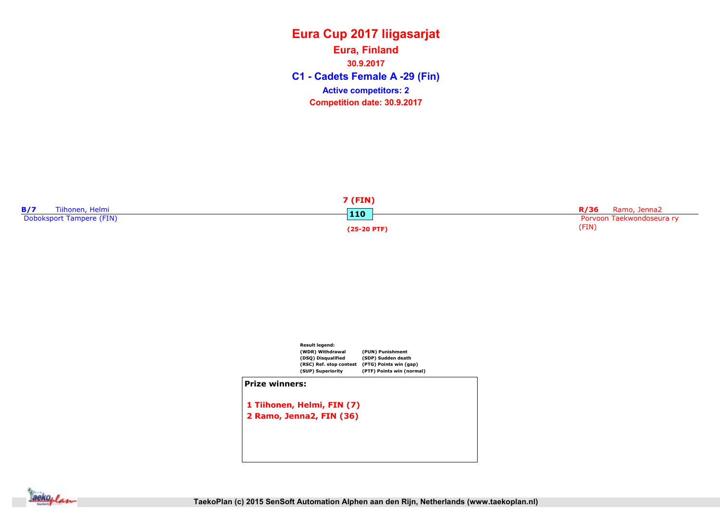C1 - Cadets Female A -29 (Fin) Eura, Finland 30.9.2017 Competition date: 30.9.2017 Active competitors: 2





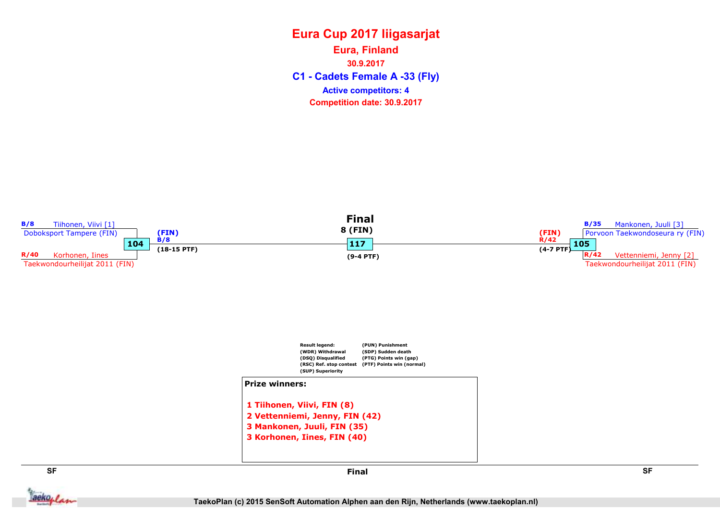C1 - Cadets Female A -33 (Fly) Eura, Finland 30.9.2017 Competition date: 30.9.2017 Active competitors: 4

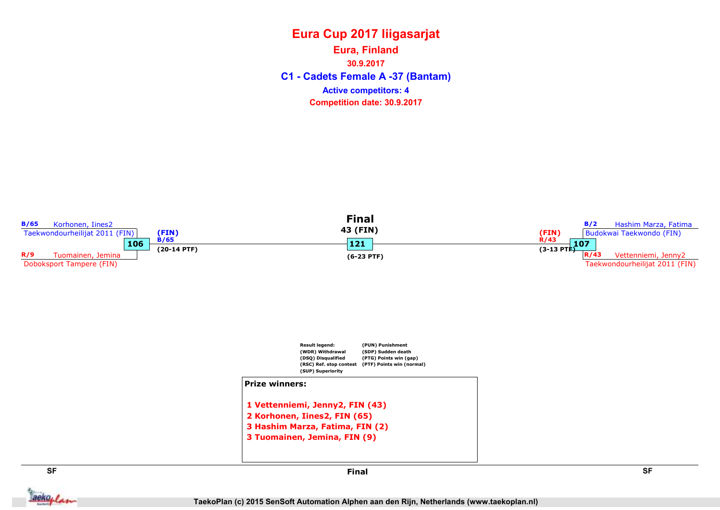C1 - Cadets Female A -37 (Bantam) Eura, Finland 30.9.2017 Competition date: 30.9.2017 Active competitors: 4



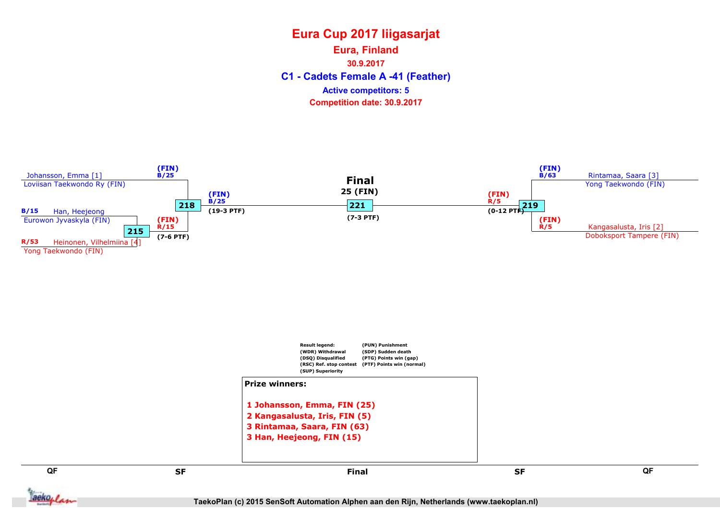C1 - Cadets Female A -41 (Feather) Eura, Finland 30.9.2017 Competition date: 30.9.2017 Active competitors: 5



TaekoPlan (c) 2015 SenSoft Automation Alphen aan den Rijn, Netherlands (www.taekoplan.nl)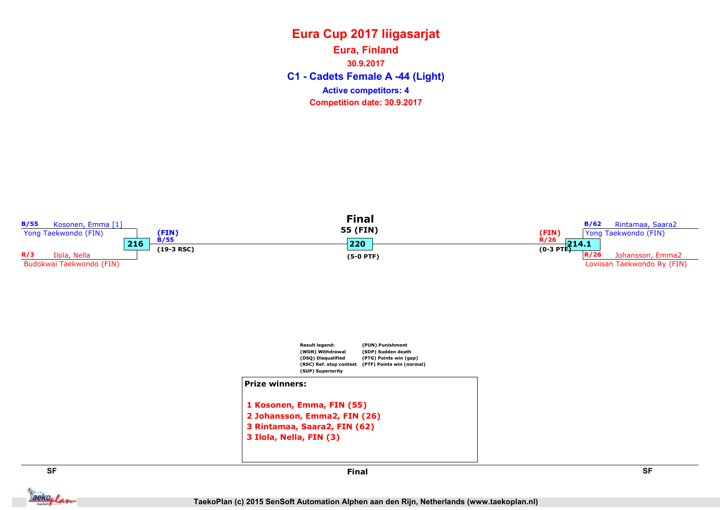C1 - Cadets Female A -44 (Light) Eura, Finland 30.9.2017 Competition date: 30.9.2017 Active competitors: 4

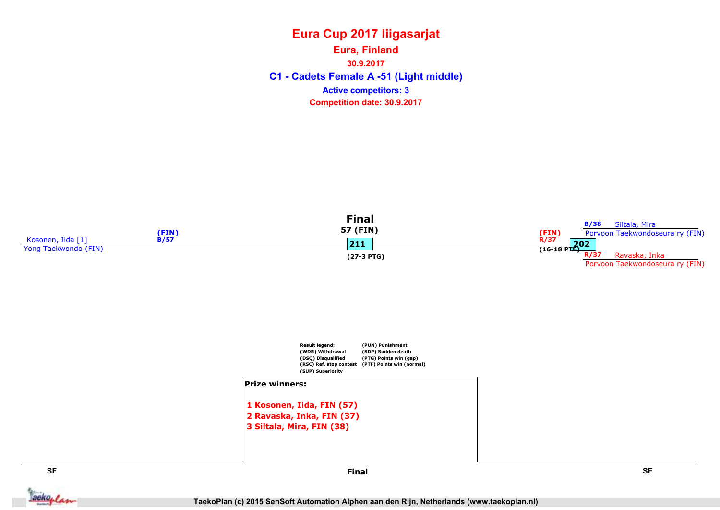C1 - Cadets Female A -51 (Light middle) Eura, Finland 30.9.2017 Competition date: 30.9.2017 Active competitors: 3





**Jackoplan** 

SF SF Final

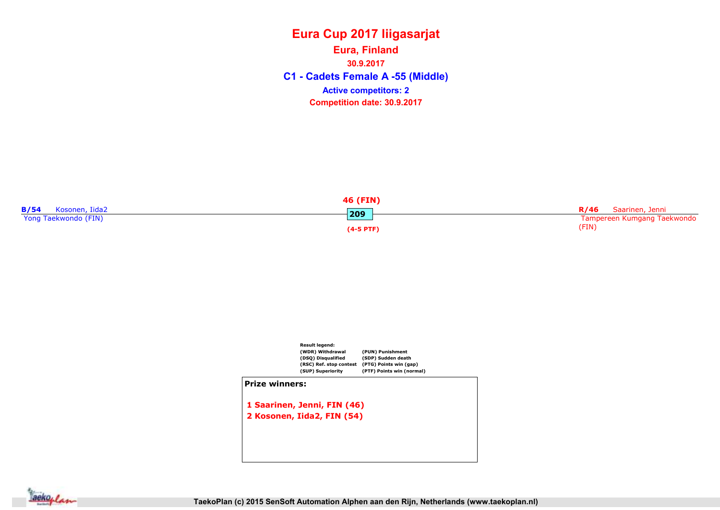C1 - Cadets Female A -55 (Middle) Eura, Finland 30.9.2017 Competition date: 30.9.2017 Active competitors: 2

|                            | 46 (FIN)    |                             |
|----------------------------|-------------|-----------------------------|
| <b>B/54</b> Kosonen, Iida2 | 209         | R/46 Saarinen, Jenni        |
| Yong Taekwondo (FIN)       |             | Tampereen Kumgang Taekwondo |
|                            | $(4-5$ PTF) | (FIN)                       |



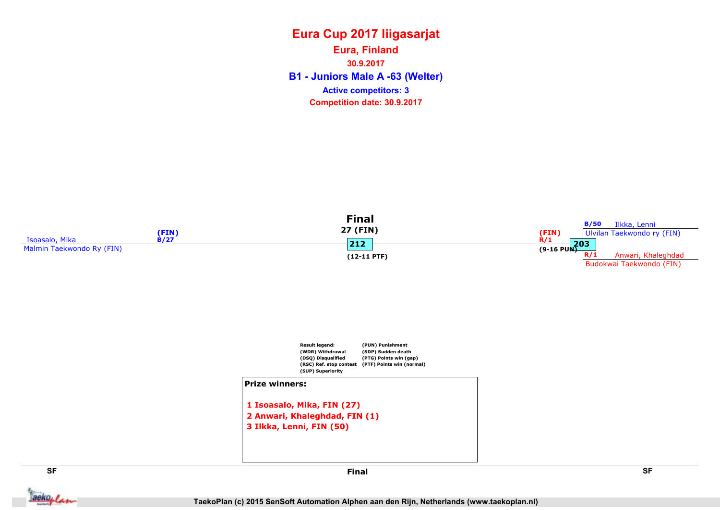#### Eura Cup 2017 liigasarjat B1 - Juniors Male A -63 (Welter) Eura, Finland 30.9.2017 Competition date: 30.9.2017 Active competitors: 3





```
1 Isoasalo, Mika, FIN (27)
2 Anwari, Khaleghdad, FIN (1)
3 Ilkka, Lenni, FIN (50)
```




Final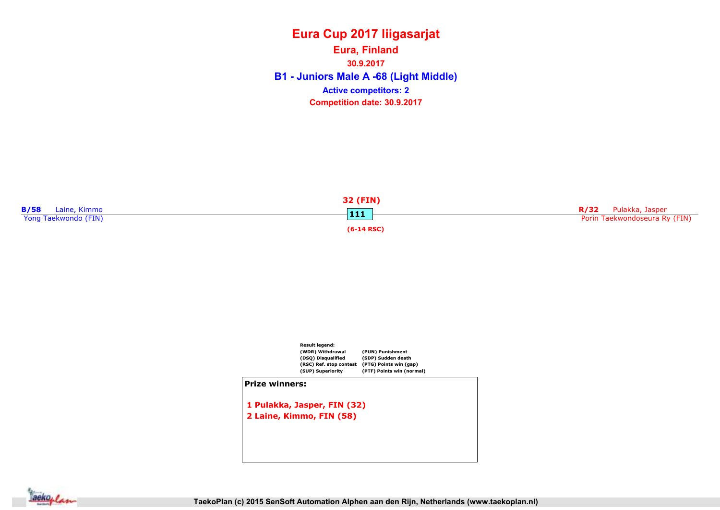#### Eura Cup 2017 liigasarjat Eura, Finland

B1 - Juniors Male A -68 (Light Middle) 30.9.2017 Competition date: 30.9.2017 Active competitors: 2





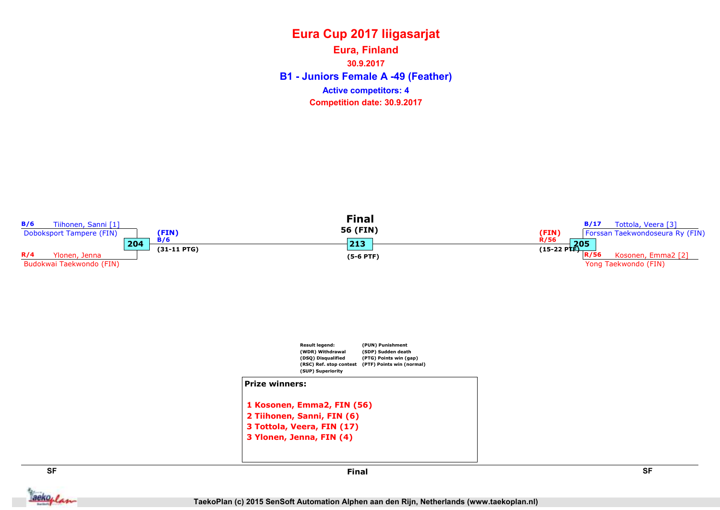B1 - Juniors Female A -49 (Feather) Eura, Finland 30.9.2017 Competition date: 30.9.2017 Active competitors: 4



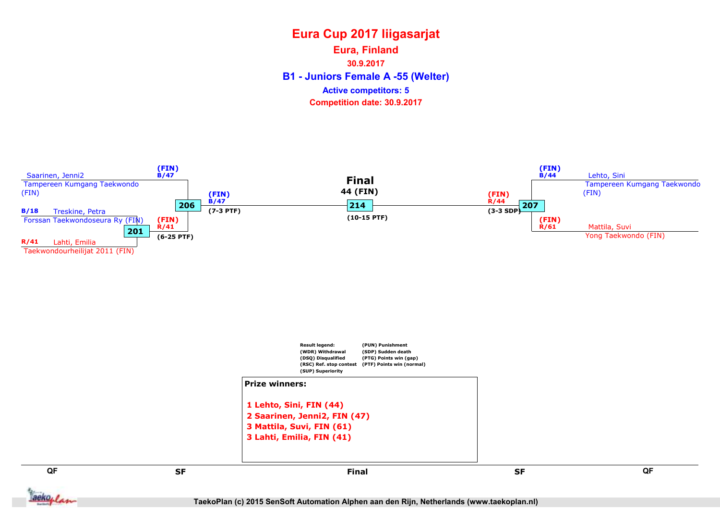B1 - Juniors Female A -55 (Welter) Eura, Finland 30.9.2017 Competition date: 30.9.2017 Active competitors: 5



TaekoPlan (c) 2015 SenSoft Automation Alphen aan den Rijn, Netherlands (www.taekoplan.nl)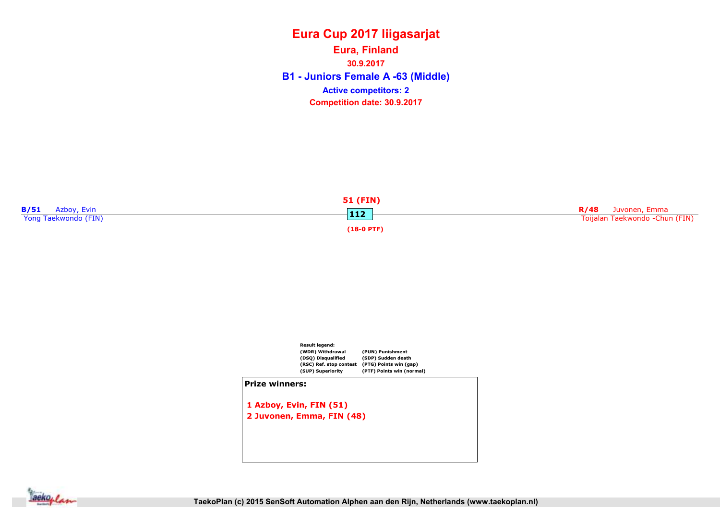B1 - Juniors Female A -63 (Middle) Eura, Finland 30.9.2017 Competition date: 30.9.2017 Active competitors: 2





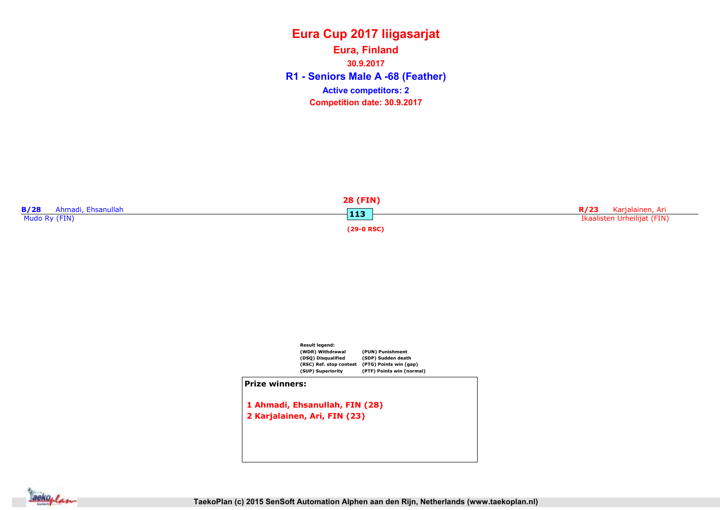R1 - Seniors Male A -68 (Feather) Eura, Finland 30.9.2017 Competition date: 30.9.2017 Active competitors: 2





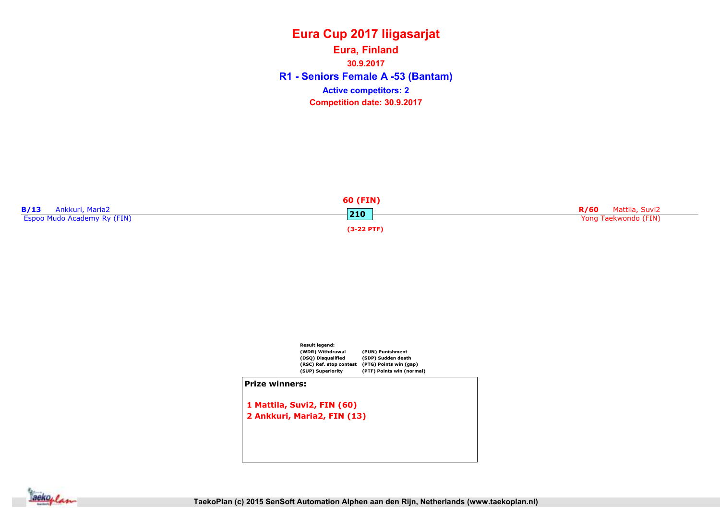#### TaekoPlan (c) 2015 SenSoft Automation Alphen aan den Rijn, Netherlands (www.taekoplan.nl)

aekoplan









#### R1 - Seniors Female A -53 (Bantam) 30.9.2017 Competition date: 30.9.2017 Active competitors: 2

Eura Cup 2017 liigasarjat

Eura, Finland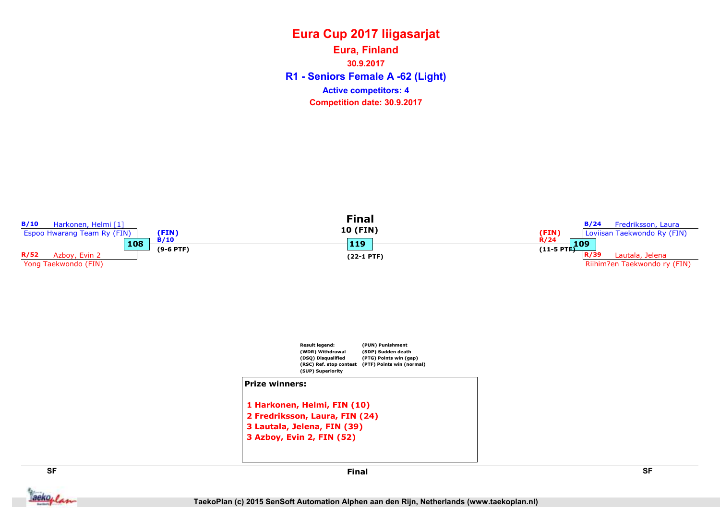R1 - Seniors Female A -62 (Light) Eura, Finland 30.9.2017 Competition date: 30.9.2017 Active competitors: 4